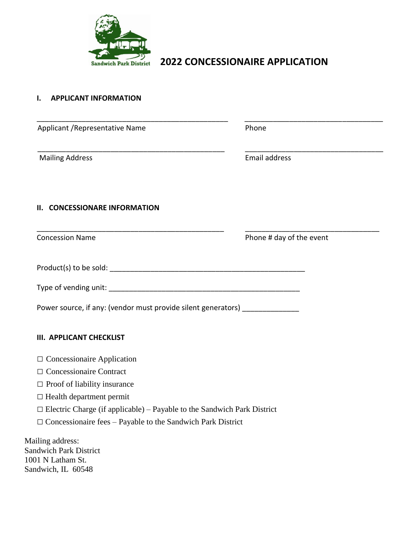

# **Sandwich Park District 2022 CONCESSIONAIRE APPLICATION**

### **I. APPLICANT INFORMATION**

| Applicant / Representative Name                                                | Phone                                                              |
|--------------------------------------------------------------------------------|--------------------------------------------------------------------|
| <b>Mailing Address</b>                                                         | Email address                                                      |
| <b>CONCESSIONARE INFORMATION</b><br>Н.                                         |                                                                    |
| <b>Concession Name</b>                                                         | Phone # day of the event                                           |
|                                                                                |                                                                    |
|                                                                                |                                                                    |
| Power source, if any: (vendor must provide silent generators) ____________     |                                                                    |
| <b>III. APPLICANT CHECKLIST</b>                                                |                                                                    |
| $\Box$ Concessionaire Application                                              |                                                                    |
| □ Concessionaire Contract                                                      |                                                                    |
| $\Box$ Proof of liability insurance                                            |                                                                    |
| $\Box$ Health department permit                                                |                                                                    |
| $\Box$ Electric Charge (if applicable) – Payable to the Sandwich Park District |                                                                    |
|                                                                                | $\Box$ Concessionaire fees - Payable to the Sandwich Park District |

Mailing address: Sandwich Park District 1001 N Latham St. Sandwich, IL 60548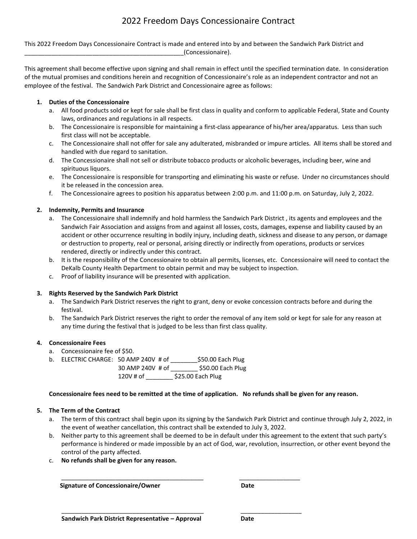## 2022 Freedom Days Concessionaire Contract

This 2022 Freedom Days Concessionaire Contract is made and entered into by and between the Sandwich Park District and \_\_\_\_\_\_\_\_\_\_\_\_\_\_\_\_\_\_\_\_\_\_\_\_\_\_\_\_\_\_\_\_\_\_\_\_\_\_\_\_\_\_\_\_\_\_\_(Concessionaire).

This agreement shall become effective upon signing and shall remain in effect until the specified termination date. In consideration of the mutual promises and conditions herein and recognition of Concessionaire's role as an independent contractor and not an employee of the festival. The Sandwich Park District and Concessionaire agree as follows:

#### **1. Duties of the Concessionaire**

- a. All food products sold or kept for sale shall be first class in quality and conform to applicable Federal, State and County laws, ordinances and regulations in all respects.
- b. The Concessionaire is responsible for maintaining a first-class appearance of his/her area/apparatus. Less than such first class will not be acceptable.
- c. The Concessionaire shall not offer for sale any adulterated, misbranded or impure articles. All items shall be stored and handled with due regard to sanitation.
- d. The Concessionaire shall not sell or distribute tobacco products or alcoholic beverages, including beer, wine and spirituous liquors.
- e. The Concessionaire is responsible for transporting and eliminating his waste or refuse. Under no circumstances should it be released in the concession area.
- f. The Concessionaire agrees to position his apparatus between 2:00 p.m. and 11:00 p.m. on Saturday, July 2, 2022.

#### **2. Indemnity, Permits and Insurance**

- a. The Concessionaire shall indemnify and hold harmless the Sandwich Park District , its agents and employees and the Sandwich Fair Association and assigns from and against all losses, costs, damages, expense and liability caused by an accident or other occurrence resulting in bodily injury, including death, sickness and disease to any person, or damage or destruction to property, real or personal, arising directly or indirectly from operations, products or services rendered, directly or indirectly under this contract.
- b. It is the responsibility of the Concessionaire to obtain all permits, licenses, etc. Concessionaire will need to contact the DeKalb County Health Department to obtain permit and may be subject to inspection.
- c. Proof of liability insurance will be presented with application.

#### **3. Rights Reserved by the Sandwich Park District**

- a. The Sandwich Park District reserves the right to grant, deny or evoke concession contracts before and during the festival.
- b. The Sandwich Park District reserves the right to order the removal of any item sold or kept for sale for any reason at any time during the festival that is judged to be less than first class quality.

#### **4. Concessionaire Fees**

- a. Concessionaire fee of \$50.
- b. ELECTRIC CHARGE: 50 AMP 240V # of \_\_\_\_\_\_\_\_\$50.00 Each Plug
	- 30 AMP 240V # of \_\_\_\_\_\_\_\_ \$50.00 Each Plug 120V # of \_\_\_\_\_\_\_\_ \$25.00 Each Plug

#### **Concessionaire fees need to be remitted at the time of application. No refunds shall be given for any reason.**

\_\_\_\_\_\_\_\_\_\_\_\_\_\_\_\_\_\_\_\_\_\_\_\_\_\_\_\_\_\_\_\_\_\_\_\_\_\_\_\_\_\_ \_\_\_\_\_\_\_\_\_\_\_\_\_\_\_\_\_\_

 $\overline{\phantom{a}}$  ,  $\overline{\phantom{a}}$  ,  $\overline{\phantom{a}}$  ,  $\overline{\phantom{a}}$  ,  $\overline{\phantom{a}}$  ,  $\overline{\phantom{a}}$  ,  $\overline{\phantom{a}}$  ,  $\overline{\phantom{a}}$  ,  $\overline{\phantom{a}}$  ,  $\overline{\phantom{a}}$  ,  $\overline{\phantom{a}}$  ,  $\overline{\phantom{a}}$  ,  $\overline{\phantom{a}}$  ,  $\overline{\phantom{a}}$  ,  $\overline{\phantom{a}}$  ,  $\overline{\phantom{a}}$ 

#### **5. The Term of the Contract**

- a. The term of this contract shall begin upon its signing by the Sandwich Park District and continue through July 2, 2022, in the event of weather cancellation, this contract shall be extended to July 3, 2022.
- b. Neither party to this agreement shall be deemed to be in default under this agreement to the extent that such party's performance is hindered or made impossible by an act of God, war, revolution, insurrection, or other event beyond the control of the party affected.
- c. **No refunds shall be given for any reason.**

**Signature of Concessionaire/Owner Concessionaire Date**